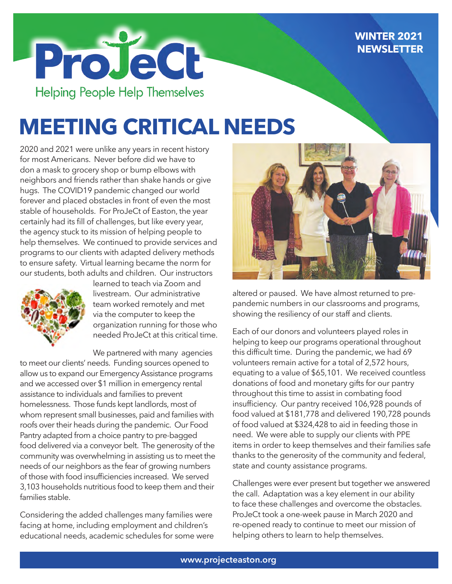#### **WINTER 2021 NEWSLETTER**



# **MEETING CRITICAL NEEDS**

2020 and 2021 were unlike any years in recent history for most Americans. Never before did we have to don a mask to grocery shop or bump elbows with neighbors and friends rather than shake hands or give hugs. The COVID19 pandemic changed our world forever and placed obstacles in front of even the most stable of households. For ProJeCt of Easton, the year certainly had its fill of challenges, but like every year, the agency stuck to its mission of helping people to help themselves. We continued to provide services and programs to our clients with adapted delivery methods to ensure safety. Virtual learning became the norm for our students, both adults and children. Our instructors



learned to teach via Zoom and livestream. Our administrative team worked remotely and met via the computer to keep the organization running for those who needed ProJeCt at this critical time.

We partnered with many agencies to meet our clients' needs. Funding sources opened to allow us to expand our Emergency Assistance programs and we accessed over \$1 million in emergency rental assistance to individuals and families to prevent homelessness. Those funds kept landlords, most of whom represent small businesses, paid and families with roofs over their heads during the pandemic. Our Food Pantry adapted from a choice pantry to pre-bagged food delivered via a conveyor belt. The generosity of the community was overwhelming in assisting us to meet the needs of our neighbors as the fear of growing numbers of those with food insufficiencies increased. We served 3,103 households nutritious food to keep them and their families stable.

Considering the added challenges many families were facing at home, including employment and children's educational needs, academic schedules for some were



altered or paused. We have almost returned to prepandemic numbers in our classrooms and programs, showing the resiliency of our staff and clients.

Each of our donors and volunteers played roles in helping to keep our programs operational throughout this difficult time. During the pandemic, we had 69 volunteers remain active for a total of 2,572 hours, equating to a value of \$65,101. We received countless donations of food and monetary gifts for our pantry throughout this time to assist in combating food insufficiency. Our pantry received 106,928 pounds of food valued at \$181,778 and delivered 190,728 pounds of food valued at \$324,428 to aid in feeding those in need. We were able to supply our clients with PPE items in order to keep themselves and their families safe thanks to the generosity of the community and federal, state and county assistance programs.

Challenges were ever present but together we answered the call. Adaptation was a key element in our ability to face these challenges and overcome the obstacles. ProJeCt took a one-week pause in March 2020 and re-opened ready to continue to meet our mission of helping others to learn to help themselves.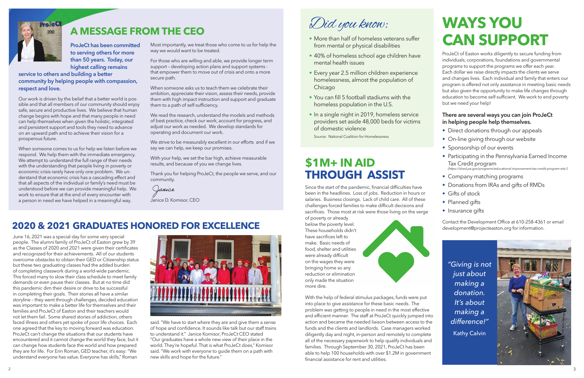**ProJeCt has been committed to serving others for more than 50 years. Today, our highest calling remains** 

#### **service to others and building a better community by helping people with compassion, respect and love.**

Our work is driven by the belief that a better world is possible and that all members of our community should enjoy safe, secure and productive lives. We believe that human change begins with hope and that many people in need can help themselves when given the holistic, integrated and persistent support and tools they need to advance on an upward path and to achieve their vision for a prosperous future.

When someone comes to us for help we listen before we respond. We help them with the immediate emergency. We attempt to understand the full range of their needs with the understanding that people living in poverty or economic crisis rarely have only one problem. We understand that economic crisis has a cascading effect and that all aspects of the individual or family's need must be understood before we can provide meaningful help. We work to ensure that at the end of every encounter with a person in need we have helped in a meaningful way.

Most importantly, we treat those who come to us for help the way we would want to be treated.

For those who are willing and able, we provide longer term support – developing action plans and support systems that empower them to move out of crisis and onto a more secure path.

When someone asks us to teach them we celebrate their ambition, appreciate their vision, assess their needs, provide them with high impact instruction and support and graduate them to a path of self-sufficiency.

We read the research, understand the models and methods of best practice, check our work, account for progress, and adjust our work as needed. We develop standards for operating and document our work.

We strive to be measurably excellent in our efforts and if we say we can help, we keep our promises.

With your help, we set the bar high, achieve measurable results, and because of you we change lives.

Thank you for helping ProJeCt, the people we serve, and our community.

Janice

Janice D. Komisor, CEO



### **A MESSAGE FROM THE CEO**

### **2020 & 2021 GRADUATES HONORED FOR EXCELLENCE**

June 16, 2021 was a special day for some very special people. The alumni family of ProJeCt of Easton grew by 39 as the Classes of 2020 and 2021 were given their certificates and recognized for their achievements. All of our students overcome obstacles to obtain their GED or Citizenship status but these two graduating classes had the added burden of completing classwork during a world-wide pandemic. This forced many to slow their class schedule to meet family demands or even pause their classes. But at no time did this pandemic dim their desire or drive to be successful in completing their goals. Their stories all have a similar storyline – they went through challenges, decided education was important to make a better life for themselves and their families and ProJeCt of Easton and their teachers would not let them fail. Some shared stories of addiction, others faced illness and others yet spoke of poor life choices. Each one agreed that the key to moving forward was education. ProJeCt can't change the situations that our students have encountered and it cannot change the world they face, but it can change how students face the world and how prepared they are for life. For Erin Roman, GED teacher, it's easy: "We understand everyone has value. Everyone has skills," Roman



said. "We have to start where they are and give them a sense of hope and confidence. It sounds like talk but our staff trains to understand it." Janice Komisor, ProJeCt CEO stated "Our graduates have a whole new view of their place in the world. They're hopeful. That is what ProJeCt does," Komisor said. "We work with everyone to guide them on a path with new skills and hope for the future."

Did you know:

- More than half of homeless veterans suffer from mental or physical disabilities
- 40% of homeless school age children have mental health issues
- Every year 2.5 million children experience homelessness, almost the population of Chicago
- You can fill 5 football stadiums with the homeless population in the U.S.
- In a single night in 2019, homeless service providers set aside 48,000 beds for victims of domestic violence

Source: National Coalition for Homelessness

### **\$1M+ IN AID THROUGH ASSIST**

Since the start of the pandemic, financial difficulties have been in the headlines. Loss of jobs. Reduction in hours or salaries. Business closings. Lack of child care. All of these challenges forced families to make difficult decisions and sacrifices. Those most at risk were those living on the verge of poverty or already

below the poverty level. These households didn't have sacrifices left to make. Basic needs of food, shelter and utilities were already difficult on the wages they were bringing home so any reduction or elimination only made the situation more dire.



With the help of federal stimulus packages, funds were put into place to give assistance for these basic needs. The problem was getting to people in need in the most effective and efficient manner. The staff at ProJeCt quickly jumped into action and became the needed liaison between access to the funds and the clients and landlords. Case managers worked diligently day and night, in-person and remotely to complete all of the necessary paperwork to help qualify individuals and families. Through September 30, 2021, ProJeCt has been able to help 100 households with over \$1.2M in government financial assistance for rent and utilities.

# **WAYS YOU CAN SUPPORT**

ProJeCt of Easton works diligently to secure funding from individuals, corporations, foundations and governmental programs to support the programs we offer each year. Each dollar we raise directly impacts the clients we serve and changes lives. Each individual and family that enters our program is offered not only assistance in meeting basic needs but also given the opportunity to make life changes through education to become self-sufficient. We work to end poverty but we need your help!

#### **There are several ways you can join ProJeCt in helping people help themselves.**

- Direct donations through our appeals
- On-line giving through our website
- Sponsorship of our events
- Participating in the Pennsylvania Earned Income Tax Credit program *(https://dced.pa.gov/programs/educational-improvement-tax-credit-program-eitc/)*
- Company matching programs
- Donations from IRAs and gifts of RMDs
- Gifts of stock
- Planned gifts
- Insurance gifts

Contact the Development Office at 610-258-4361 or email development@projecteaston.org for information.

*"Giving is not just about making a donation. It's about making a difference!"* Kathy Calvin

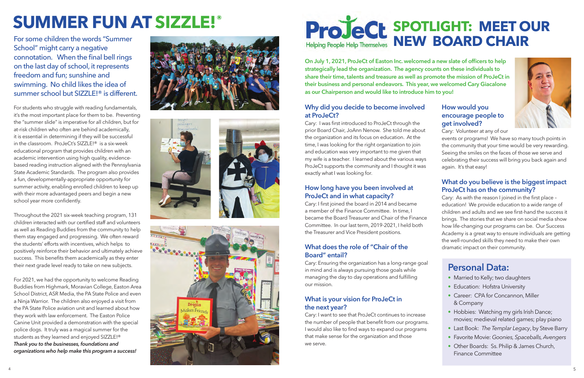# **SUMMER FUN AT SIZZLE! ®**

For some children the words "Summer School" might carry a negative connotation. When the final bell rings on the last day of school, it represents freedom and fun; sunshine and swimming. No child likes the idea of summer school but SIZZLE!® is different.

For students who struggle with reading fundamentals, it's the most important place for them to be. Preventing the "summer slide" is imperative for all children, but for at-risk children who often are behind academically, it is essential in determining if they will be successful in the classroom. ProJeCt's SIZZLE!® is a six-week educational program that provides children with an academic intervention using high quality, evidencebased reading instruction aligned with the Pennsylvania State Academic Standards. The program also provides a fun, developmentally-appropriate opportunity for summer activity, enabling enrolled children to keep up with their more advantaged peers and begin a new school year more confidently.

Throughout the 2021 six-week teaching program, 131 children interacted with our certified staff and volunteers as well as Reading Buddies from the community to help them stay engaged and progressing. We often reward the students' efforts with incentives, which helps to positively reinforce their behavior and ultimately achieve success. This benefits them academically as they enter their next grade level ready to take on new subjects.

For 2021, we had the opportunity to welcome Reading Buddies from Highmark, Moravian College, Easton Area School District, ASR Media, the PA State Police and even a Ninja Warrior. The children also enjoyed a visit from the PA State Police aviation unit and learned about how they work with law enforcement. The Easton Police Canine Unit provided a demonstration with the special police dogs. It truly was a magical summer for the students as they learned and enjoyed SIZZLE!® *Thank you to the businesses, foundations and organizations who help make this program a success!*





#### **Why did you decide to become involved at ProJeCt?**

Cary: I was first introduced to ProJeCt through the prior Board Chair, JoAnn Nenow. She told me about the organization and its focus on education. At the time, I was looking for the right organization to join and education was very important to me given that my wife is a teacher. I learned about the various ways ProJeCt supports the community and I thought it was exactly what I was looking for.

- Married to Kelly; two daughters
- Education: Hofstra University
- Career: CPA for Concannon, Miller & Company
- Hobbies: Watching my girls Irish Dance; movies; medieval related games; play piano
- Last Book: *The Templar Legacy*, by Steve Barry
- Favorite Movie: *Goonies, Spaceballs, Avengers*
- Other Boards: Ss. Philip & James Church, Finance Committee

#### **How long have you been involved at ProJeCt and in what capacity?**

Cary: I first joined the board in 2014 and became a member of the Finance Committee. In time, I became the Board Treasurer and Chair of the Finance Committee. In our last term, 2019-2021, I held both the Treasurer and Vice President positions.

#### **What does the role of "Chair of the Board" entail?**

Cary: Ensuring the organization has a long-range goal in mind and is always pursuing those goals while managing the day to day operations and fulfilling our mission.

#### **What is your vision for ProJeCt in the next year?**

Cary: I want to see that ProJeCt continues to increase the number of people that benefit from our programs. I would also like to find ways to expand our programs that make sense for the organization and those we serve.

#### **How would you encourage people to get involved?**



Cary: Volunteer at any of our

events or programs! We have so many touch points in the community that your time would be very rewarding. Seeing the smiles on the faces of those we serve and celebrating their success will bring you back again and again. It's that easy!

#### **What do you believe is the biggest impact ProJeCt has on the community?**

Cary: As with the reason I joined in the first place – education! We provide education to a wide range of children and adults and we see first-hand the success it brings. The stories that we share on social media show how life-changing our programs can be. Our Success Academy is a great way to ensure individuals are getting the well-rounded skills they need to make their own dramatic impact on their community.

# **SPOTLIGHT: MEET OUR NEW BOARD CHAIR**

**On July 1, 2021, ProJeCt of Easton Inc. welcomed a new slate of officers to help strategically lead the organization. The agency counts on these individuals to share their time, talents and treasure as well as promote the mission of ProJeCt in their business and personal endeavors. This year, we welcomed Cary Giacalone as our Chairperson and would like to introduce him to you!**

### **Personal Data:**



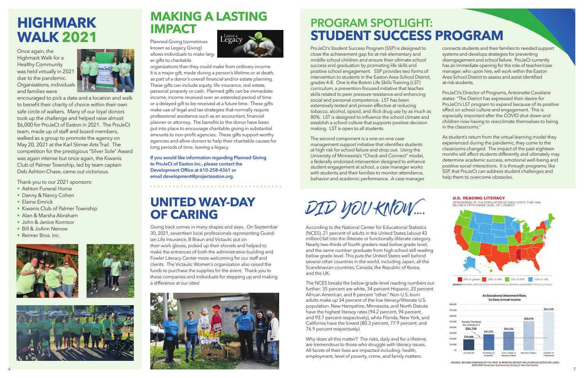## **HIGHMARK WALK 2021**

Once again, the Highmark Walk for a Healthy Community was held virtually in 2021 due to the pandemic. Organizations, individuals and families were



encouraged to pick a date and a location and walk to benefit their charity of choice within their own safe circle of walkers. Many of our loyal donors took up the challenge and helped raise almost \$6,000 for ProJeCt of Easton in 2021. The ProJeCt team, made up of staff and board members, walked as a group to promote the agency on May 20, 2021 at the Karl Stirner Arts Trail. The competition for the prestigious "Silver Sole" Award was again intense but once again, the Kiwanis Club of Palmer Township, led by team captain Deb Ashton-Chase, came out victorious.

Thank you to our 2021 sponsors:

- Ashton Funeral Home
- Danny & Nancy Cohen
- Elaine Emrick
- Kiwanis Club of Palmer Township
- Alan & Marsha Abraham
- John & Janice Komisor
- Bill & JoAnn Nenow
- Reimer Bros. Inc.







## **MAKING A LASTING IMPACT**

Planned Giving (sometimes known as Legacy Giving) allows individuals to make larger gifts to charitable



organizations than they could make from ordinary income. It is a major gift, made during a person's lifetime or at death, as part of a donor's overall financial and/or estate planning. These gifts can include equity, life insurance, real estate, personal property or cash. Planned gifts can be immediate income, income received over an extended period of time or a delayed gift to be received at a future time. These gifts make use of legal and tax strategies that normally require professional assistance such as an accountant, financial planner or attorney. The benefits to the donor have been put into place to encourage charitable giving in substantial amounts to non-profit agencies. These gifts support worthy agencies and allow donors to help their charitable causes for long periods of time, leaving a legacy.

**If you would like information regarding Planned Giving to ProJeCt of Easton Inc., please contact the Development Office at 610-258-4361 or email development@projecteaston.org.**

## **UNITED WAY-DAY OF CARING**

Giving back comes in many shapes and sizes. On September 30, 2021, seventeen local professionals representing Guardian Life Insurance, B Braun and Victaulic put on their work gloves, picked up their shovels and helped to make the entrances of both the administrative building and Fowler Literacy Center more welcoming for our staff and clients. The Victaulic Women's organization also raised the funds to purchase the supplies for the event. Thank you to these companies and individuals for stepping up and making a difference at our sites!

ProJeCt's Student Success Program (SSP) is designed to close the achievement gap for at-risk elementary and middle school children and ensure their ultimate school success and graduation by promoting life skills and positive school engagement. SSP provides two forms of intervention to students in the Easton Area School District, grades 4-8. One is the Botvin Life Skills Training (LST) curriculum, a prevention-focused initiative that teaches skills related to peer pressure resistance and enhancing social and personal competence. LST has been extensively tested and proven effective at reducing tobacco, alcohol, opioid, and illicit drug use by as much as 80%. LST is designed to influence the school climate and establish a school culture that supports positive decision making. LST is open to all students.

The second component is a one-on-one case management support initiative that identifies students at high risk for school failure and drop out. Using the University of Minnesota's "Check and Connect" model, a federally endorsed intervention designed to enhance student engagement at school, a case manager works with students and their families to monitor attendance, behavior and academic performance. A case manager

DID YOU KNOW ....

connects students and their families to needed support systems and develops strategies for preventing disengagement and school failure. ProJeCt currently has an immediate opening for the role of teacher/case manager, who upon hire, will work within the Easton Area School District to assess and assist identified at-risk students.

ProJeCt's Director of Programs, Antoinette Cavaliere states: "The District has expressed their desire for ProJeCt's LST program to expand because of its positive effect on school culture and engagement. This is especially important after the COVID shut down and children now having to reacclimate themselves to being in the classrooms."

As student's return from the virtual learning model they experienced during the pandemic, they come to the classrooms changed. The impact of the past eighteen months will affect students differently and ultimately may determine academic success, emotional well-being and positive social interactions. It is through programs, like SSP, that ProJeCt can address student challenges and help them to overcome obstacles.





SOURCE: MEDIAN EARNINGS IN THE PAST 12 MONTHS (IN 2017 INFLATION-ADJUSTED DOLLARS)<br>2013-2017 American Community Survey 5-Year Estimates

## **PROGRAM SPOTLIGHT: STUDENT SUCCESS PROGRAM**

According to the National Center for Educational Statistics (NCES), 21 percent of adults in the United States (about 43 million) fall into the illiterate or functionally illiterate category. Nearly two-thirds of fourth graders read below grade level, and the same number graduate from high school still reading below grade level. This puts the United States well behind several other countries in the world, including Japan, all the Scandinavian countries, Canada, the Republic of Korea, and the UK.

The NCES breaks the below-grade-level reading numbers out further: 35 percent are white, 34 percent Hispanic, 23 percent African American, and 8 percent "other." Non-U.S.-born adults make up 34 percent of the low literacy/illiterate U.S. population. New Hampshire, Minnesota, and North Dakota have the highest literacy rates (94.2 percent, 94 percent, and 93.7 percent respectively), while Florida, New York, and California have the lowest (80.3 percent, 77.9 percent, and 76.9 percent respectively).

Why does all this matter? The risks, daily and for a lifetime, are tremendous to those who struggle with literacy issues. All facets of their lives are impacted including: health, employment, level of poverty, crime, and family matters.